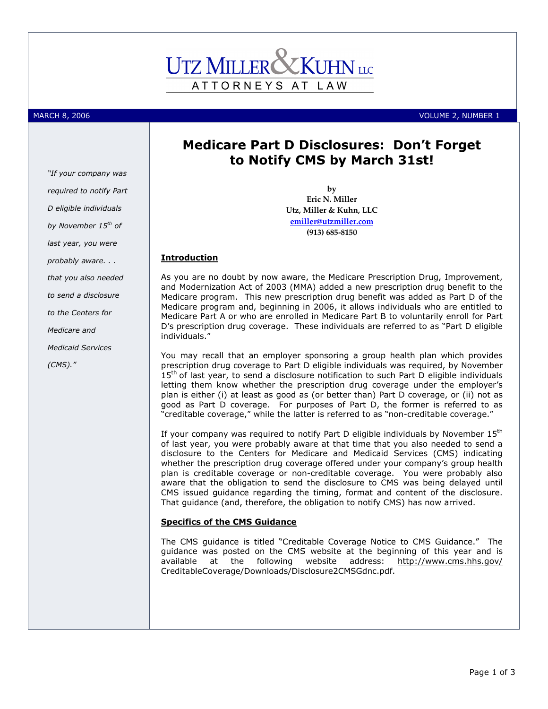# ATTORNEYS AT LAW

(CMS)."

"If your company was required to notify Part D eligible individuals

MARCH 8, 2006 VOLUME 2, NUMBER 1

# Medicare Part D Disclosures: Don't Forget to Notify CMS by March 31st!

by Eric N. Miller Utz, Miller & Kuhn, LLC emiller@utzmiller.com (913) 685-8150

As you are no doubt by now aware, the Medicare Prescription Drug, Improvement, and Modernization Act of 2003 (MMA) added a new prescription drug benefit to the Medicare program. This new prescription drug benefit was added as Part D of the Medicare program and, beginning in 2006, it allows individuals who are entitled to Medicare Part A or who are enrolled in Medicare Part B to voluntarily enroll for Part D's prescription drug coverage. These individuals are referred to as "Part D eligible

You may recall that an employer sponsoring a group health plan which provides prescription drug coverage to Part D eligible individuals was required, by November  $15<sup>th</sup>$  of last year, to send a disclosure notification to such Part D eligible individuals letting them know whether the prescription drug coverage under the employer's plan is either (i) at least as good as (or better than) Part D coverage, or (ii) not as good as Part D coverage. For purposes of Part D, the former is referred to as "creditable coverage," while the latter is referred to as "non-creditable coverage."

If your company was required to notify Part D eligible individuals by November 15<sup>th</sup> of last year, you were probably aware at that time that you also needed to send a disclosure to the Centers for Medicare and Medicaid Services (CMS) indicating whether the prescription drug coverage offered under your company's group health plan is creditable coverage or non-creditable coverage. You were probably also aware that the obligation to send the disclosure to CMS was being delayed until CMS issued guidance regarding the timing, format and content of the disclosure. That guidance (and, therefore, the obligation to notify CMS) has now arrived.

### Specifics of the CMS Guidance

The CMS guidance is titled "Creditable Coverage Notice to CMS Guidance." The guidance was posted on the CMS website at the beginning of this year and is available at the following website address: http://www.cms.hhs.gov/ CreditableCoverage/Downloads/Disclosure2CMSGdnc.pdf.

**Introduction** individuals." by November 15<sup>th</sup> of last year, you were probably aware. . . that you also needed to send a disclosure to the Centers for Medicare and Medicaid Services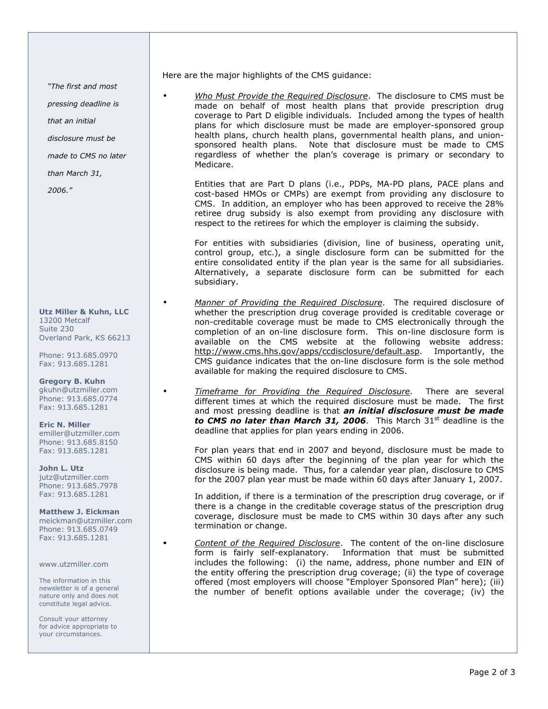"The first and most

pressing deadline is

that an initial

disclosure must be

made to CMS no later

than March 31,

2006."

Utz Miller & Kuhn, LLC 13200 Metcalf Suite 230 Overland Park, KS 66213

Phone: 913.685.0970 Fax: 913.685.1281

Gregory B. Kuhn gkuhn@utzmiller.com Phone: 913.685.0774 Fax: 913.685.1281

Eric N. Miller emiller@utzmiller.com Phone: 913.685.8150 Fax: 913.685.1281

John L. Utz jutz@utzmiller.com Phone: 913.685.7978 Fax: 913.685.1281

Matthew J. Eickman meickman@utzmiller.com Phone: 913.685.0749 Fax: 913.685.1281

www.utzmiller.com

The information in this newsletter is of a general nature only and does not constitute legal advice.

Consult your attorney for advice appropriate to your circumstances.

Here are the major highlights of the CMS guidance:

Who Must Provide the Required Disclosure. The disclosure to CMS must be made on behalf of most health plans that provide prescription drug coverage to Part D eligible individuals. Included among the types of health plans for which disclosure must be made are employer-sponsored group health plans, church health plans, governmental health plans, and unionsponsored health plans. Note that disclosure must be made to CMS regardless of whether the plan's coverage is primary or secondary to Medicare.

Entities that are Part D plans (i.e., PDPs, MA-PD plans, PACE plans and cost-based HMOs or CMPs) are exempt from providing any disclosure to CMS. In addition, an employer who has been approved to receive the 28% retiree drug subsidy is also exempt from providing any disclosure with respect to the retirees for which the employer is claiming the subsidy.

For entities with subsidiaries (division, line of business, operating unit, control group, etc.), a single disclosure form can be submitted for the entire consolidated entity if the plan year is the same for all subsidiaries. Alternatively, a separate disclosure form can be submitted for each subsidiary.

Manner of Providing the Required Disclosure. The required disclosure of whether the prescription drug coverage provided is creditable coverage or non-creditable coverage must be made to CMS electronically through the completion of an on-line disclosure form. This on-line disclosure form is available on the CMS website at the following website address: http://www.cms.hhs.gov/apps/ccdisclosure/default.asp. Importantly, the CMS guidance indicates that the on-line disclosure form is the sole method available for making the required disclosure to CMS.

Timeframe for Providing the Required Disclosure. There are several different times at which the required disclosure must be made. The first and most pressing deadline is that **an initial disclosure must be made** to CMS no later than March 31, 2006. This March  $31<sup>st</sup>$  deadline is the deadline that applies for plan years ending in 2006.

For plan years that end in 2007 and beyond, disclosure must be made to CMS within 60 days after the beginning of the plan year for which the disclosure is being made. Thus, for a calendar year plan, disclosure to CMS for the 2007 plan year must be made within 60 days after January 1, 2007.

In addition, if there is a termination of the prescription drug coverage, or if there is a change in the creditable coverage status of the prescription drug coverage, disclosure must be made to CMS within 30 days after any such termination or change.

Content of the Required Disclosure. The content of the on-line disclosure form is fairly self-explanatory. Information that must be submitted includes the following: (i) the name, address, phone number and EIN of the entity offering the prescription drug coverage; (ii) the type of coverage offered (most employers will choose "Employer Sponsored Plan" here); (iii) the number of benefit options available under the coverage; (iv) the